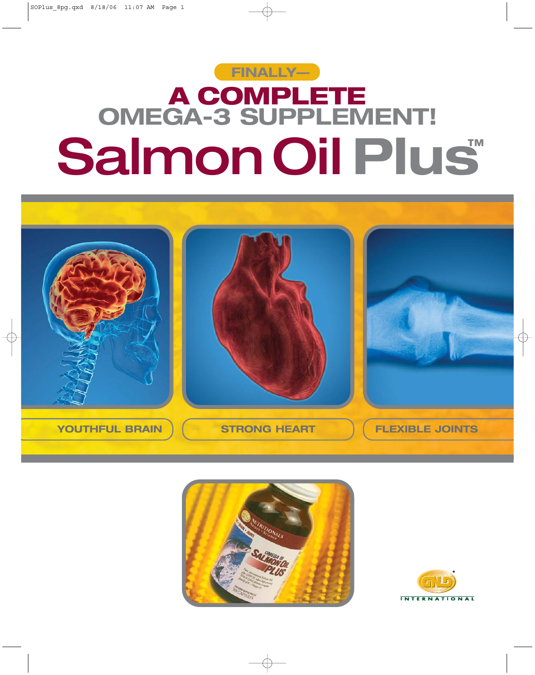# SalmonOil **Plus™ A COMPLETE OMEGA-3 SUPPLEMENT! FINALLY—**





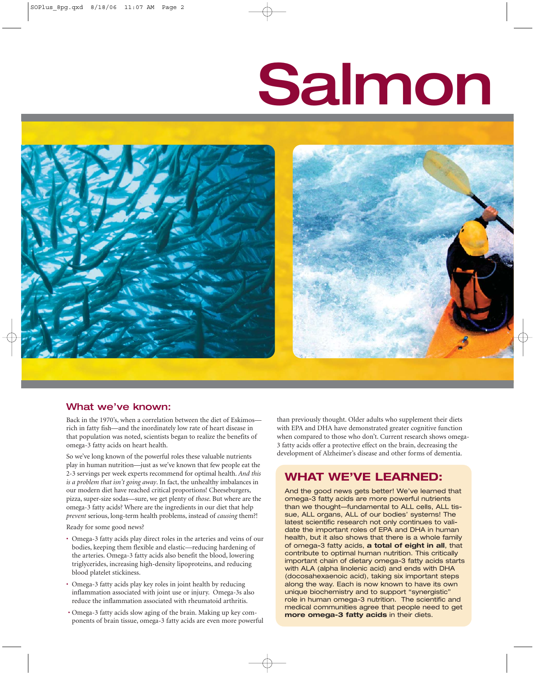# Salmon



# What we've known:

Back in the 1970's, when a correlation between the diet of Eskimos rich in fatty fish—and the inordinately low rate of heart disease in that population was noted, scientists began to realize the benefits of omega-3 fatty acids on heart health.

So we've long known of the powerful roles these valuable nutrients play in human nutrition—just as we've known that few people eat the 2-3 servings per week experts recommend for optimal health. *And this is a problem that isn't going away*. In fact, the unhealthy imbalances in our modern diet have reached critical proportions! Cheeseburgers, pizza, super-size sodas—sure, we get plenty of *those*. But where are the omega-3 fatty acids? Where are the ingredients in our diet that help *prevent* serious, long-term health problems, instead of *causing* them?!

Ready for some good news?

- Omega-3 fatty acids play direct roles in the arteries and veins of our bodies, keeping them flexible and elastic—reducing hardening of the arteries. Omega-3 fatty acids also benefit the blood, lowering triglycerides, increasing high-density lipoproteins, and reducing blood platelet stickiness.
- Omega-3 fatty acids play key roles in joint health by reducing inflammation associated with joint use or injury. Omega-3s also reduce the inflammation associated with rheumatoid arthritis.
- Omega-3 fatty acids slow aging of the brain. Making up key components of brain tissue, omega-3 fatty acids are even more powerful

than previously thought. Older adults who supplement their diets with EPA and DHA have demonstrated greater cognitive function when compared to those who don't. Current research shows omega-3 fatty acids offer a protective effect on the brain, decreasing the development of Alzheimer's disease and other forms of dementia.

# **WHAT WE'VE LEARNED:**

And the good news gets better! We've learned that omega-3 fatty acids are more powerful nutrients than we thought—fundamental to ALL cells, ALL tissue, ALL organs, ALL of our bodies' systems! The latest scientific research not only continues to validate the important roles of EPA and DHA in human health, but it also shows that there is a whole family of omega-3 fatty acids, **a total of eight in all**, that contribute to optimal human nutrition. This critically important chain of dietary omega-3 fatty acids starts with ALA (alpha linolenic acid) and ends with DHA (docosahexaenoic acid), taking six important steps along the way. Each is now known to have its own unique biochemistry and to support "synergistic" role in human omega-3 nutrition. The scientific and medical communities agree that people need to get **more omega-3 fatty acids** in their diets.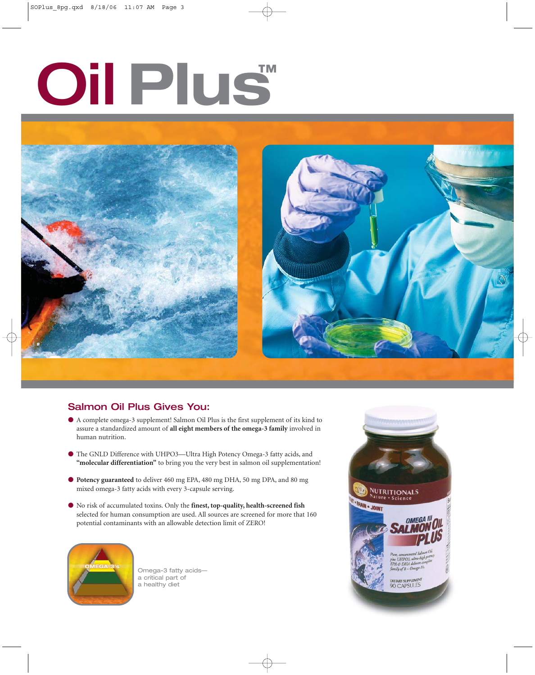# Oil **Plus™**



# Salmon Oil Plus Gives You:

- A complete omega-3 supplement! Salmon Oil Plus is the first supplement of its kind to assure a standardized amount of **all eight members of the omega-3 family** involved in human nutrition.
- The GNLD Difference with UHPO3—Ultra High Potency Omega-3 fatty acids, and **"molecular differentiation"** to bring you the very best in salmon oil supplementation!
- **Potency guaranteed** to deliver 460 mg EPA, 480 mg DHA, 50 mg DPA, and 80 mg mixed omega-3 fatty acids with every 3-capsule serving.
- No risk of accumulated toxins. Only the **finest, top-quality, health-screened fish** selected for human consumption are used. All sources are screened for more that 160 potential contaminants with an allowable detection limit of ZERO!



Omega-3 fatty acids a critical part of a healthy diet

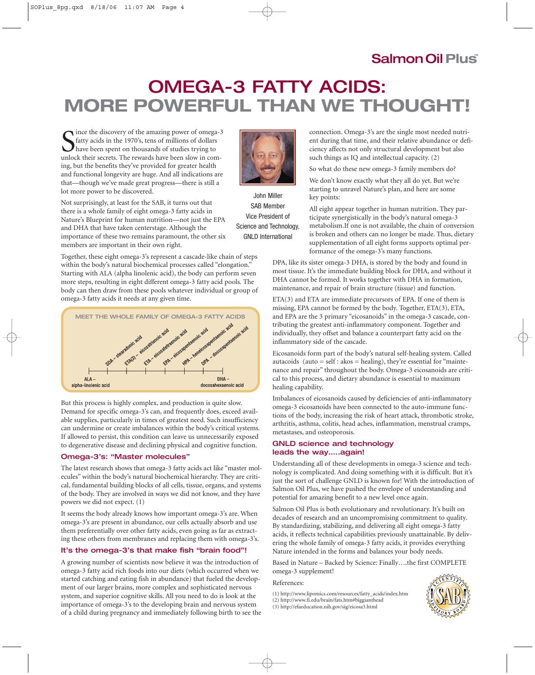# SalmonOil **Plus™**

# OMEGA-3 FATTY ACIDS: **MORE POWERFUL THAN WE THOUGHT!**

S ince the discovery of the amazing power of omega-3<br>
fatty acids in the 1970's, tens of millions of dollars<br>
have been spent on thousands of studies trying to<br>
unlock their secrets. The rewards have been slow in comince the discovery of the amazing power of omega-3 fatty acids in the 1970's, tens of millions of dollars have been spent on thousands of studies trying to ing, but the benefits they've provided for greater health and functional longevity are huge. And all indications are that—though we've made great progress—there is still a lot more power to be discovered.



John Miller SAB Member

Not surprisingly, at least for the SAB, it turns out that there is a whole family of eight omega-3 fatty acids in Nature's Blueprint for human nutrition—not just the EPA and DHA that have taken centerstage. Although the importance of these two remains paramount, the other six members are important in their own right. Vice President of Science and Technology, GNLD International

Together, these eight omega-3's represent a cascade-like chain of steps within the body's natural biochemical processes called "elongation." Starting with ALA (alpha linolenic acid), the body can perform seven more steps, resulting in eight different omega-3 fatty acid pools. The body can then draw from these pools whatever individual or group of omega-3 fatty acids it needs at any given time.



But this process is highly complex, and production is quite slow. Demand for specific omega-3's can, and frequently does, exceed available supplies, particularly in times of greatest need. Such insufficiency can undermine or create imbalances within the body's critical systems. If allowed to persist, this condition can leave us unnecessarily exposed to degenerative disease and declining physical and cognitive function.

### Omega-3's: "Master molecules"

The latest research shows that omega-3 fatty acids act like "master molecules" within the body's natural biochemical hierarchy. They are critical, fundamental building blocks of all cells, tissue, organs, and systems of the body. They are involved in ways we did not know, and they have powers we did not expect. (1)

It seems the body already knows how important omega-3's are. When omega-3's are present in abundance, our cells actually absorb and use them preferentially over other fatty acids, even going as far as extracting these others from membranes and replacing them with omega-3's.

### It's the omega-3's that make fish "brain food"!

A growing number of scientists now believe it was the introduction of omega-3 fatty acid rich foods into our diets (which occurred when we started catching and eating fish in abundance) that fueled the development of our larger brains, more complex and sophisticated nervous system, and superior cognitive skills. All you need to do is look at the importance of omega-3's to the developing brain and nervous system of a child during pregnancy and immediately following birth to see the connection. Omega-3's are the single most needed nutrient during that time, and their relative abundance or deficiency affects not only structural development but also such things as IQ and intellectual capacity. (2)

So what do these new omega-3 family members do?

We don't know exactly what they all do yet. But we're starting to unravel Nature's plan, and here are some key points:

All eight appear together in human nutrition. They participate synergistically in the body's natural omega-3 metabolism.If one is not available, the chain of conversion is broken and others can no longer be made. Thus, dietary supplementation of all eight forms supports optimal performance of the omega-3's many functions.

DPA, like its sister omega-3 DHA, is stored by the body and found in most tissue. It's the immediate building block for DHA, and without it DHA cannot be formed. It works together with DHA in formation, maintenance, and repair of brain structure (tissue) and function.

ETA(3) and ETA are immediate precursors of EPA. If one of them is missing, EPA cannot be formed by the body. Together, ETA(3), ETA, and EPA are the 3 primary "eicosanoids" in the omega-3 cascade, contributing the greatest anti-inflammatory component. Together and individually, they offset and balance a counterpart fatty acid on the inflammatory side of the cascade.

Eicosanoids form part of the body's natural self-healing system. Called autacoids (auto  $=$  self : akos  $=$  healing), they're essential for "maintenance and repair" throughout the body. Omega-3 eicosanoids are critical to this process, and dietary abundance is essential to maximum healing capability.

Imbalances of eicosanoids caused by deficiencies of anti-inflammatory omega-3 eicosanoids have been connected to the auto-immune functions of the body, increasing the risk of heart attack, thrombotic stroke, arthritis, asthma, colitis, head aches, inflammation, menstrual cramps, metastases, and osteoporosis.

# GNLD science and technology leads the way…..again!

Understanding all of these developments in omega-3 science and technology is complicated. And doing something with it is difficult. But it's just the sort of challenge GNLD is known for! With the introduction of Salmon Oil Plus, we have pushed the envelope of understanding and potential for amazing benefit to a new level once again.

Salmon Oil Plus is both evolutionary and revolutionary. It's built on decades of research and an uncompromising commitment to quality. By standardizing, stabilizing, and delivering all eight omega-3 fatty acids, it reflects technical capabilities previously unattainable. By delivering the whole family of omega-3 fatty acids, it provides everything Nature intended in the forms and balances your body needs.

Based in Nature – Backed by Science: Finally….the first COMPLETE omega-3 supplement!

### References:

(1) http://www.lipomics.com/resources/fatty\_acids/index.htm

(3) http://efaeducation.nih.gov/sig/eicosa3.html



<sup>(2)</sup> http://www.fi.edu/brain/fats.htm#biggianthead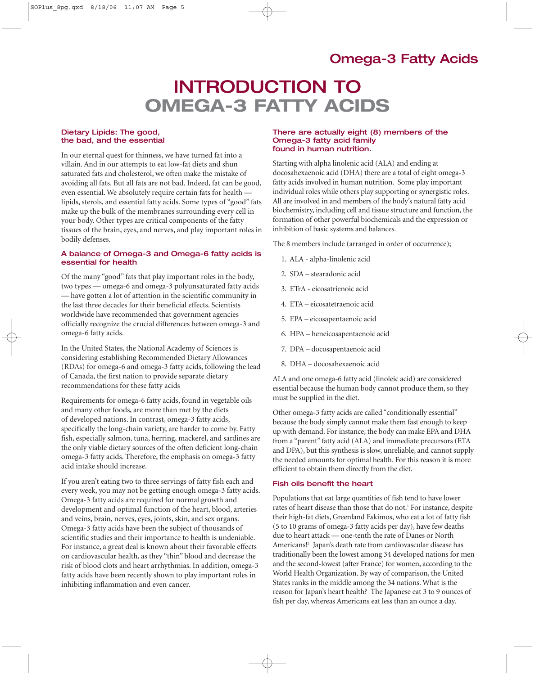# INTRODUCTION TO **OMEGA-3 FATTY ACIDS**

### Dietary Lipids: The good, the bad, and the essential

In our eternal quest for thinness, we have turned fat into a villain. And in our attempts to eat low-fat diets and shun saturated fats and cholesterol, we often make the mistake of avoiding all fats. But all fats are not bad. Indeed, fat can be good, even essential. We absolutely require certain fats for health lipids, sterols, and essential fatty acids. Some types of "good" fats make up the bulk of the membranes surrounding every cell in your body. Other types are critical components of the fatty tissues of the brain, eyes, and nerves, and play important roles in bodily defenses.

# A balance of Omega-3 and Omega-6 fatty acids is essential for health

Of the many "good" fats that play important roles in the body, two types — omega-6 and omega-3 polyunsaturated fatty acids — have gotten a lot of attention in the scientific community in the last three decades for their beneficial effects. Scientists worldwide have recommended that government agencies officially recognize the crucial differences between omega-3 and omega-6 fatty acids.

In the United States, the National Academy of Sciences is considering establishing Recommended Dietary Allowances (RDAs) for omega-6 and omega-3 fatty acids, following the lead of Canada, the first nation to provide separate dietary recommendations for these fatty acids

Requirements for omega-6 fatty acids, found in vegetable oils and many other foods, are more than met by the diets of developed nations. In contrast, omega-3 fatty acids, specifically the long-chain variety, are harder to come by. Fatty fish, especially salmon, tuna, herring, mackerel, and sardines are the only viable dietary sources of the often deficient long-chain omega-3 fatty acids. Therefore, the emphasis on omega-3 fatty acid intake should increase.

If you aren't eating two to three servings of fatty fish each and every week, you may not be getting enough omega-3 fatty acids. Omega-3 fatty acids are required for normal growth and development and optimal function of the heart, blood, arteries and veins, brain, nerves, eyes, joints, skin, and sex organs. Omega-3 fatty acids have been the subject of thousands of scientific studies and their importance to health is undeniable. For instance, a great deal is known about their favorable effects on cardiovascular health, as they "thin" blood and decrease the risk of blood clots and heart arrhythmias. In addition, omega-3 fatty acids have been recently shown to play important roles in inhibiting inflammation and even cancer.

### There are actually eight (8) members of the Omega-3 fatty acid family found in human nutrition.

Starting with alpha linolenic acid (ALA) and ending at docosahexaenoic acid (DHA) there are a total of eight omega-3 fatty acids involved in human nutrition. Some play important individual roles while others play supporting or synergistic roles. All are involved in and members of the body's natural fatty acid biochemistry, including cell and tissue structure and function, the formation of other powerful biochemicals and the expression or inhibition of basic systems and balances.

The 8 members include (arranged in order of occurrence);

- 1. ALA alpha-linolenic acid
- 2. SDA stearadonic acid
- 3. ETrA eicosatrienoic acid
- 4. ETA eicosatetraenoic acid
- 5. EPA eicosapentaenoic acid
- 6. HPA heneicosapentaenoic acid
- 7. DPA docosapentaenoic acid
- 8. DHA docosahexaenoic acid

ALA and one omega-6 fatty acid (linoleic acid) are considered essential because the human body cannot produce them, so they must be supplied in the diet.

Other omega-3 fatty acids are called "conditionally essential" because the body simply cannot make them fast enough to keep up with demand. For instance, the body can make EPA and DHA from a "parent" fatty acid (ALA) and immediate precursors (ETA and DPA), but this synthesis is slow, unreliable, and cannot supply the needed amounts for optimal health. For this reason it is more efficient to obtain them directly from the diet.

### Fish oils benefit the heart

Populations that eat large quantities of fish tend to have lower rates of heart disease than those that do not.<sup>1</sup> For instance, despite their high-fat diets, Greenland Eskimos, who eat a lot of fatty fish (5 to 10 grams of omega-3 fatty acids per day), have few deaths due to heart attack — one-tenth the rate of Danes or North Americans!2 Japan's death rate from cardiovascular disease has traditionally been the lowest among 34 developed nations for men and the second-lowest (after France) for women, according to the World Health Organization. By way of comparison, the United States ranks in the middle among the 34 nations. What is the reason for Japan's heart health? The Japanese eat 3 to 9 ounces of fish per day, whereas Americans eat less than an ounce a day.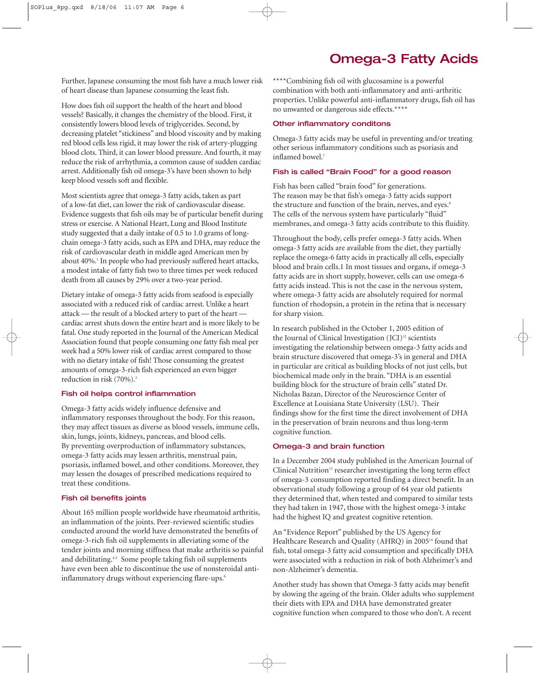Further, Japanese consuming the most fish have a much lower risk of heart disease than Japanese consuming the least fish.

How does fish oil support the health of the heart and blood vessels? Basically, it changes the chemistry of the blood. First, it consistently lowers blood levels of triglycerides. Second, by decreasing platelet "stickiness" and blood viscosity and by making red blood cells less rigid, it may lower the risk of artery-plugging blood clots. Third, it can lower blood pressure. And fourth, it may reduce the risk of arrhythmia, a common cause of sudden cardiac arrest. Additionally fish oil omega-3's have been shown to help keep blood vessels soft and flexible.

Most scientists agree that omega-3 fatty acids, taken as part of a low-fat diet, can lower the risk of cardiovascular disease. Evidence suggests that fish oils may be of particular benefit during stress or exercise. A National Heart, Lung and Blood Institute study suggested that a daily intake of 0.5 to 1.0 grams of longchain omega-3 fatty acids, such as EPA and DHA, may reduce the risk of cardiovascular death in middle aged American men by about 40%.<sup>1</sup> In people who had previously suffered heart attacks, a modest intake of fatty fish two to three times per week reduced death from all causes by 29% over a two-year period.

Dietary intake of omega-3 fatty acids from seafood is especially associated with a reduced risk of cardiac arrest. Unlike a heart attack — the result of a blocked artery to part of the heart cardiac arrest shuts down the entire heart and is more likely to be fatal. One study reported in the Journal of the American Medical Association found that people consuming one fatty fish meal per week had a 50% lower risk of cardiac arrest compared to those with no dietary intake of fish! Those consuming the greatest amounts of omega-3-rich fish experienced an even bigger reduction in risk (70%).<sup>3</sup>

## Fish oil helps control inflammation

Omega-3 fatty acids widely influence defensive and inflammatory responses throughout the body. For this reason, they may affect tissues as diverse as blood vessels, immune cells, skin, lungs, joints, kidneys, pancreas, and blood cells. By preventing overproduction of inflammatory substances, omega-3 fatty acids may lessen arthritis, menstrual pain, psoriasis, inflamed bowel, and other conditions. Moreover, they may lessen the dosages of prescribed medications required to treat these conditions.

# Fish oil benefits joints

About 165 million people worldwide have rheumatoid arthritis, an inflammation of the joints. Peer-reviewed scientific studies conducted around the world have demonstrated the benefits of omega-3-rich fish oil supplements in alleviating some of the tender joints and morning stiffness that make arthritis so painful and debilitating.<sup>4,5</sup> Some people taking fish oil supplements have even been able to discontinue the use of nonsteroidal antiinflammatory drugs without experiencing flare-ups.<sup>6</sup>

\*\*\*\*Combining fish oil with glucosamine is a powerful combination with both anti-inflammatory and anti-arthritic properties. Unlike powerful anti-inflammatory drugs, fish oil has no unwanted or dangerous side effects.\*\*\*\*

# Other inflammatory conditons

Omega-3 fatty acids may be useful in preventing and/or treating other serious inflammatory conditions such as psoriasis and inflamed bowel<sup>7</sup>

# Fish is called "Brain Food" for a good reason

Fish has been called "brain food" for generations. The reason may be that fish's omega-3 fatty acids support the structure and function of the brain, nerves, and eyes.<sup>8</sup> The cells of the nervous system have particularly "fluid" membranes, and omega-3 fatty acids contribute to this fluidity.

Throughout the body, cells prefer omega-3 fatty acids. When omega-3 fatty acids are available from the diet, they partially replace the omega-6 fatty acids in practically all cells, especially blood and brain cells.1 In most tissues and organs, if omega-3 fatty acids are in short supply, however, cells can use omega-6 fatty acids instead. This is not the case in the nervous system, where omega-3 fatty acids are absolutely required for normal function of rhodopsin, a protein in the retina that is necessary for sharp vision.

In research published in the October 1, 2005 edition of the Journal of Clinical Investigation (JCI)<sup>12</sup> scientists investigating the relationship between omega-3 fatty acids and brain structure discovered that omega-3's in general and DHA in particular are critical as building blocks of not just cells, but biochemical made only in the brain. "DHA is an essential building block for the structure of brain cells" stated Dr. Nicholas Bazan, Director of the Neuroscience Center of Excellence at Louisiana State University (LSU). Their findings show for the first time the direct involvement of DHA in the preservation of brain neurons and thus long-term cognitive function.

# Omega-3 and brain function

In a December 2004 study published in the American Journal of Clinical Nutrition<sup>13</sup> researcher investigating the long term effect of omega-3 consumption reported finding a direct benefit. In an observational study following a group of 64 year old patients they determined that, when tested and compared to similar tests they had taken in 1947, those with the highest omega-3 intake had the highest IQ and greatest cognitive retention.

An "Evidence Report" published by the US Agency for Healthcare Research and Quality (AHRQ) in 2005<sup>14</sup> found that fish, total omega-3 fatty acid consumption and specifically DHA were associated with a reduction in risk of both Alzheimer's and non-Alzheimer's dementia.

Another study has shown that Omega-3 fatty acids may benefit by slowing the ageing of the brain. Older adults who supplement their diets with EPA and DHA have demonstrated greater cognitive function when compared to those who don't. A recent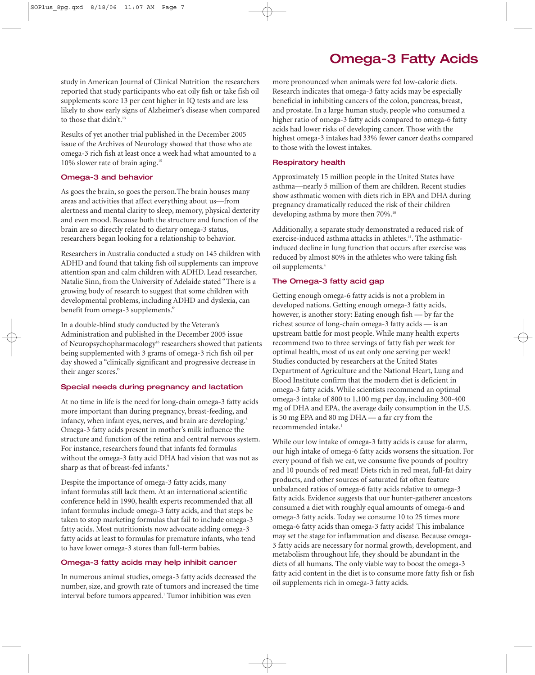study in American Journal of Clinical Nutrition the researchers reported that study participants who eat oily fish or take fish oil supplements score 13 per cent higher in IQ tests and are less likely to show early signs of Alzheimer's disease when compared to those that didn't.<sup>13</sup>

Results of yet another trial published in the December 2005 issue of the Archives of Neurology showed that those who ate omega-3 rich fish at least once a week had what amounted to a 10% slower rate of brain aging.<sup>15</sup>

## Omega-3 and behavior

As goes the brain, so goes the person.The brain houses many areas and activities that affect everything about us—from alertness and mental clarity to sleep, memory, physical dexterity and even mood. Because both the structure and function of the brain are so directly related to dietary omega-3 status, researchers began looking for a relationship to behavior.

Researchers in Australia conducted a study on 145 children with ADHD and found that taking fish oil supplements can improve attention span and calm children with ADHD. Lead researcher, Natalie Sinn, from the University of Adelaide stated "There is a growing body of research to suggest that some children with developmental problems, including ADHD and dyslexia, can benefit from omega-3 supplements."

In a double-blind study conducted by the Veteran's Administration and published in the December 2005 issue of Neuropsychopharmacology<sup>16</sup> researchers showed that patients being supplemented with 3 grams of omega-3 rich fish oil per day showed a "clinically significant and progressive decrease in their anger scores."

# Special needs during pregnancy and lactation

At no time in life is the need for long-chain omega-3 fatty acids more important than during pregnancy, breast-feeding, and infancy, when infant eyes, nerves, and brain are developing.<sup>8</sup> Omega-3 fatty acids present in mother's milk influence the structure and function of the retina and central nervous system. For instance, researchers found that infants fed formulas without the omega-3 fatty acid DHA had vision that was not as sharp as that of breast-fed infants.<sup>9</sup>

Despite the importance of omega-3 fatty acids, many infant formulas still lack them. At an international scientific conference held in 1990, health experts recommended that all infant formulas include omega-3 fatty acids, and that steps be taken to stop marketing formulas that fail to include omega-3 fatty acids. Most nutritionists now advocate adding omega-3 fatty acids at least to formulas for premature infants, who tend to have lower omega-3 stores than full-term babies.

### Omega-3 fatty acids may help inhibit cancer

In numerous animal studies, omega-3 fatty acids decreased the number, size, and growth rate of tumors and increased the time interval before tumors appeared.<sup>1</sup> Tumor inhibition was even

more pronounced when animals were fed low-calorie diets. Research indicates that omega-3 fatty acids may be especially beneficial in inhibiting cancers of the colon, pancreas, breast, and prostate. In a large human study, people who consumed a higher ratio of omega-3 fatty acids compared to omega-6 fatty acids had lower risks of developing cancer. Those with the highest omega-3 intakes had 33% fewer cancer deaths compared to those with the lowest intakes.

# Respiratory health

Approximately 15 million people in the United States have asthma—nearly 5 million of them are children. Recent studies show asthmatic women with diets rich in EPA and DHA during pregnancy dramatically reduced the risk of their children developing asthma by more then 70%.<sup>10</sup>

Additionally, a separate study demonstrated a reduced risk of exercise-induced asthma attacks in athletes.<sup>11</sup>. The asthmaticinduced decline in lung function that occurs after exercise was reduced by almost 80% in the athletes who were taking fish oil supplements.4

# The Omega-3 fatty acid gap

Getting enough omega-6 fatty acids is not a problem in developed nations. Getting enough omega-3 fatty acids, however, is another story: Eating enough fish — by far the richest source of long-chain omega-3 fatty acids — is an upstream battle for most people. While many health experts recommend two to three servings of fatty fish per week for optimal health, most of us eat only one serving per week! Studies conducted by researchers at the United States Department of Agriculture and the National Heart, Lung and Blood Institute confirm that the modern diet is deficient in omega-3 fatty acids. While scientists recommend an optimal omega-3 intake of 800 to 1,100 mg per day, including 300-400 mg of DHA and EPA, the average daily consumption in the U.S. is 50 mg EPA and 80 mg DHA — a far cry from the recommended intake.1

While our low intake of omega-3 fatty acids is cause for alarm, our high intake of omega-6 fatty acids worsens the situation. For every pound of fish we eat, we consume five pounds of poultry and 10 pounds of red meat! Diets rich in red meat, full-fat dairy products, and other sources of saturated fat often feature unbalanced ratios of omega-6 fatty acids relative to omega-3 fatty acids. Evidence suggests that our hunter-gatherer ancestors consumed a diet with roughly equal amounts of omega-6 and omega-3 fatty acids. Today we consume 10 to 25 times more omega-6 fatty acids than omega-3 fatty acids! This imbalance may set the stage for inflammation and disease. Because omega-3 fatty acids are necessary for normal growth, development, and metabolism throughout life, they should be abundant in the diets of all humans. The only viable way to boost the omega-3 fatty acid content in the diet is to consume more fatty fish or fish oil supplements rich in omega-3 fatty acids.